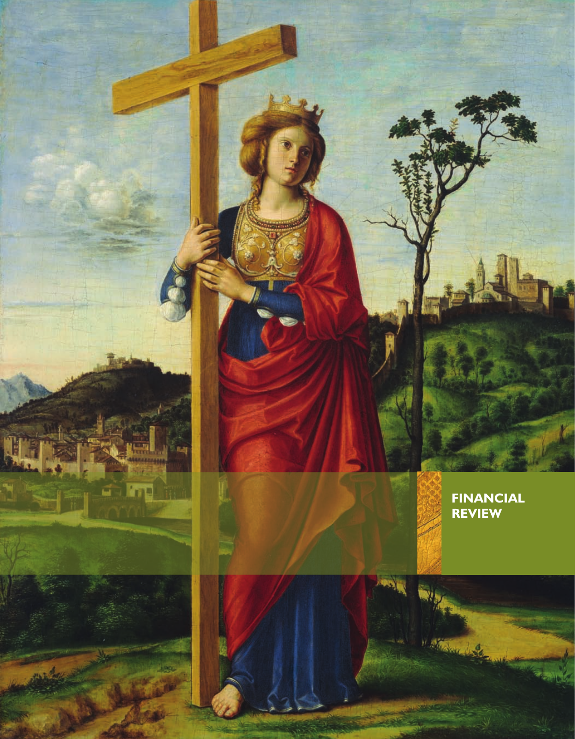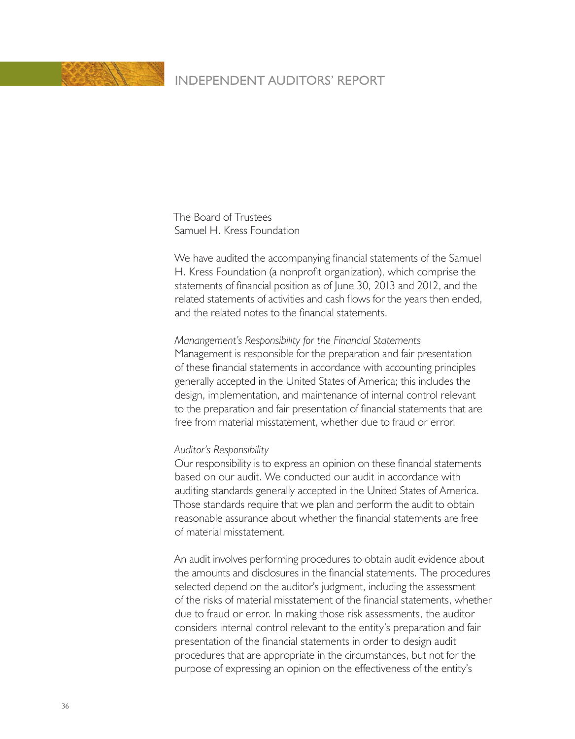

The Board of Trustees Samuel H. Kress Foundation

We have audited the accompanying financial statements of the Samuel H. Kress Foundation (a nonprofit organization), which comprise the statements of financial position as of June 30, 2013 and 2012, and the related statements of activities and cash flows for the years then ended, and the related notes to the financial statements.

#### *Manangement's Responsibility for the Financial Statements*

Management is responsible for the preparation and fair presentation of these financial statements in accordance with accounting principles generally accepted in the United States of America; this includes the design, implementation, and maintenance of internal control relevant to the preparation and fair presentation of financial statements that are free from material misstatement, whether due to fraud or error.

#### *Auditor's Responsibility*

Our responsibility is to express an opinion on these financial statements based on our audit. We conducted our audit in accordance with auditing standards generally accepted in the United States of America. Those standards require that we plan and perform the audit to obtain reasonable assurance about whether the financial statements are free of material misstatement.

An audit involves performing procedures to obtain audit evidence about the amounts and disclosures in the financial statements. The procedures selected depend on the auditor's judgment, including the assessment of the risks of material misstatement of the financial statements, whether due to fraud or error. In making those risk assessments, the auditor considers internal control relevant to the entity's preparation and fair presentation of the financial statements in order to design audit procedures that are appropriate in the circumstances, but not for the purpose of expressing an opinion on the effectiveness of the entity's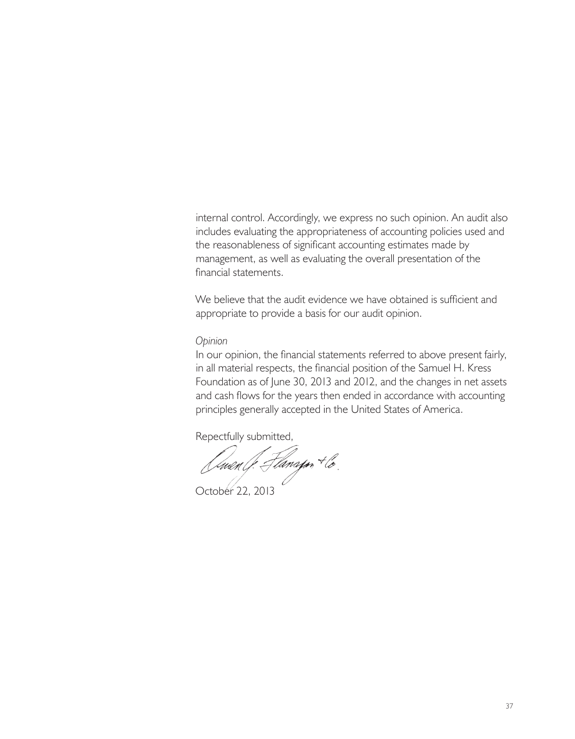internal control. Accordingly, we express no such opinion. An audit also includes evaluating the appropriateness of accounting policies used and the reasonableness of significant accounting estimates made by management, as well as evaluating the overall presentation of the financial statements.

We believe that the audit evidence we have obtained is sufficient and appropriate to provide a basis for our audit opinion.

#### *Opinion*

In our opinion, the financial statements referred to above present fairly, in all material respects, the financial position of the Samuel H. Kress Foundation as of June 30, 2013 and 2012, and the changes in net assets and cash flows for the years then ended in accordance with accounting principles generally accepted in the United States of America.

Repectfully submitted,

Omen (f. Flanapon + lo.<br>October 22, 2013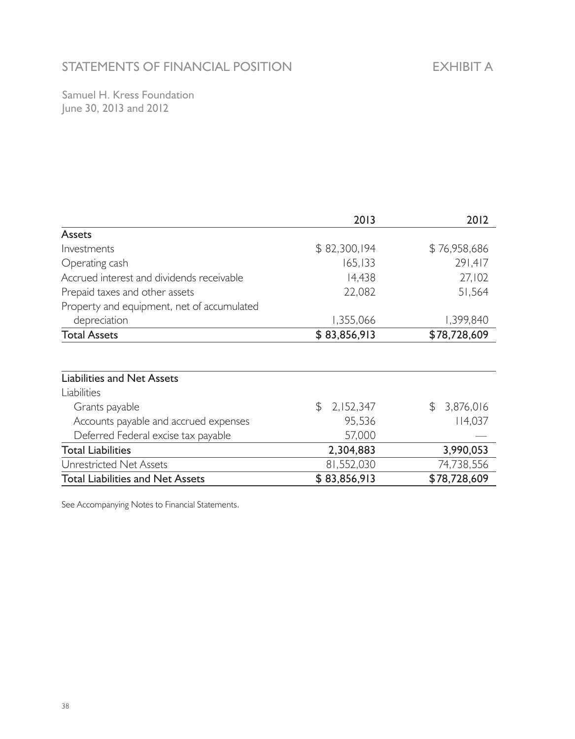# STATEMENTS OF FINANCIAL POSITION

Samuel H. Kress Foundation June 30, 2013 and 2012

|                                            | 2013             | 2012         |
|--------------------------------------------|------------------|--------------|
| <b>Assets</b>                              |                  |              |
| Investments                                | \$82,300,194     | \$76,958,686 |
| Operating cash                             | 165,133          | 291,417      |
| Accrued interest and dividends receivable  | 14,438           | 27,102       |
| Prepaid taxes and other assets             | 22,082           | 51,564       |
| Property and equipment, net of accumulated |                  |              |
| depreciation                               | 1,355,066        | 1,399,840    |
| <b>Total Assets</b>                        | \$83,856,913     | \$78,728,609 |
|                                            |                  |              |
| <b>Liabilities and Net Assets</b>          |                  |              |
| Liabilities                                |                  |              |
| Grants payable                             | 2,152,347<br>\$. | \$3,876,016  |
| Accounts payable and accrued expenses      | 95,536           | 114,037      |
| Deferred Federal excise tax payable        | 57,000           |              |
| <b>Total Liabilities</b>                   | 2,304,883        | 3,990,053    |
| Unrestricted Net Assets                    | 81,552,030       | 74,738,556   |
| Total Liabilities and Net Assets           | \$83,856,913     | \$78,728,609 |

See Accompanying Notes to Financial Statements.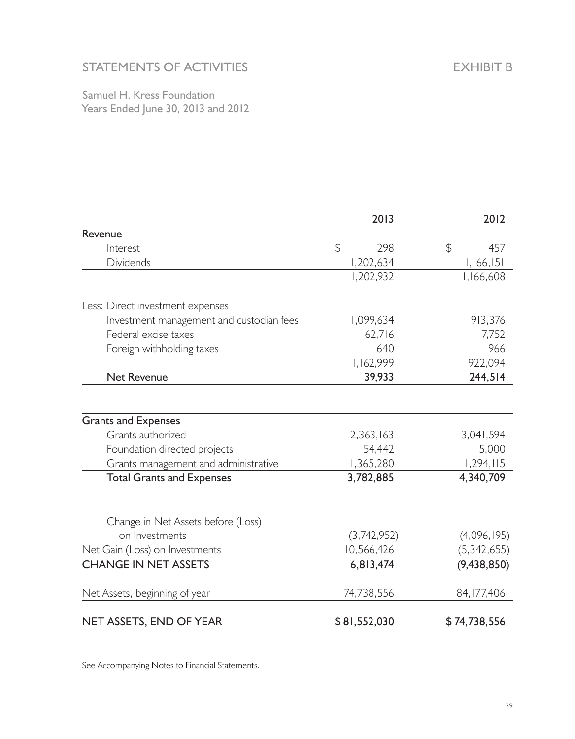## STATEMENTS OF ACTIVITIES

Samuel H. Kress Foundation Years Ended June 30, 2013 and 2012

|                                          | 2013         | 2012          |
|------------------------------------------|--------------|---------------|
| Revenue                                  |              |               |
| Interest                                 | \$<br>298    | \$<br>457     |
| <b>Dividends</b>                         | 1,202,634    | 1,166,151     |
|                                          | 1,202,932    | 1,166,608     |
| Less: Direct investment expenses         |              |               |
| Investment management and custodian fees | 1,099,634    | 913,376       |
| Federal excise taxes                     | 62,716       | 7,752         |
| Foreign withholding taxes                | 640          | 966           |
|                                          | 1,162,999    | 922,094       |
| Net Revenue                              | 39,933       | 244,514       |
|                                          |              |               |
| <b>Grants and Expenses</b>               |              |               |
| Grants authorized                        | 2,363,163    | 3,041,594     |
| Foundation directed projects             | 54,442       | 5,000         |
| Grants management and administrative     | 1,365,280    | 1,294,115     |
| <b>Total Grants and Expenses</b>         | 3,782,885    | 4,340,709     |
| Change in Net Assets before (Loss)       |              |               |
| on Investments                           | (3,742,952)  | (4,096,195)   |
| Net Gain (Loss) on Investments           | 10,566,426   | (5,342,655)   |
| <b>CHANGE IN NET ASSETS</b>              | 6,813,474    | (9, 438, 850) |
| Net Assets, beginning of year            | 74,738,556   | 84, 177, 406  |
| NET ASSETS, END OF YEAR                  | \$81,552,030 | \$74,738,556  |

See Accompanying Notes to Financial Statements.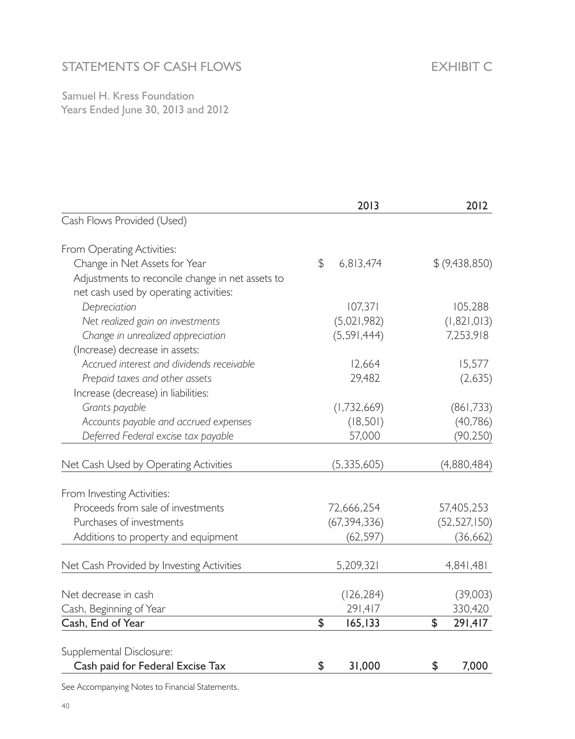# STATEMENTS OF CASH FLOWS

EXHIBIT C

Samuel H. Kress Foundation Years Ended June 30, 2013 and 2012

|                                                  | 2013            | 2012           |
|--------------------------------------------------|-----------------|----------------|
| Cash Flows Provided (Used)                       |                 |                |
| From Operating Activities:                       |                 |                |
| Change in Net Assets for Year                    | \$<br>6,813,474 | \$ (9,438,850) |
| Adjustments to reconcile change in net assets to |                 |                |
| net cash used by operating activities:           |                 |                |
| Depreciation                                     | 107,371         | 105,288        |
| Net realized gain on investments                 | (5,021,982)     | (1, 821, 013)  |
| Change in unrealized appreciation                | (5, 591, 444)   | 7,253,918      |
| (Increase) decrease in assets:                   |                 |                |
| Accrued interest and dividends receivable        | 12,664          | 15,577         |
| Prepaid taxes and other assets                   | 29,482          | (2,635)        |
| Increase (decrease) in liabilities:              |                 |                |
| Grants payable                                   | (1,732,669)     | (861,733)      |
| Accounts payable and accrued expenses            | (18, 501)       | (40, 786)      |
| Deferred Federal excise tax payable              | 57,000          | (90, 250)      |
|                                                  |                 |                |
| Net Cash Used by Operating Activities            | (5, 335, 605)   | (4,880,484)    |
| From Investing Activities:                       |                 |                |
| Proceeds from sale of investments                | 72,666,254      | 57,405,253     |
| Purchases of investments                         | (67, 394, 336)  | (52, 527, 150) |
| Additions to property and equipment              | (62, 597)       | (36, 662)      |
|                                                  |                 |                |
| Net Cash Provided by Investing Activities        | 5,209,321       | 4,841,481      |
| Net decrease in cash                             | (126, 284)      | (39,003)       |
| Cash, Beginning of Year                          | 291,417         | 330,420        |
| Cash, End of Year                                | \$<br>165,133   | \$<br>291,417  |
|                                                  |                 |                |
| Supplemental Disclosure:                         |                 |                |
| Cash paid for Federal Excise Tax                 | 31,000<br>\$    | \$<br>7,000    |

See Accompanying Notes to Financial Statements.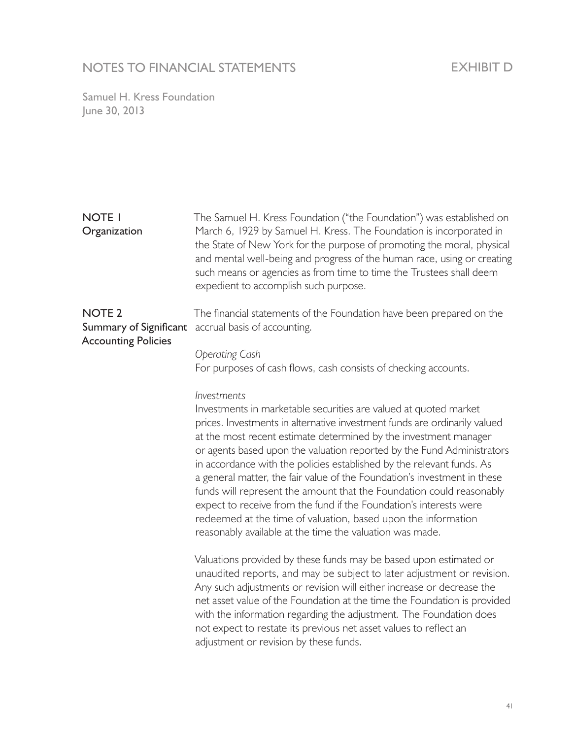## NOTES TO FINANCIAL STATEMENTS

## EXHIBIT D

Samuel H. Kress Foundation June 30, 2013

#### NOTE 1 **Organization**

The Samuel H. Kress Foundation ("the Foundation") was established on March 6, 1929 by Samuel H. Kress. The Foundation is incorporated in the State of New York for the purpose of promoting the moral, physical and mental well-being and progress of the human race, using or creating such means or agencies as from time to time the Trustees shall deem expedient to accomplish such purpose.

# NOTE 2 Accounting Policies

Summary of Significant accrual basis of accounting. The financial statements of the Foundation have been prepared on the

#### *Operating Cash*

For purposes of cash flows, cash consists of checking accounts.

#### *Investments*

Investments in marketable securities are valued at quoted market prices. Investments in alternative investment funds are ordinarily valued at the most recent estimate determined by the investment manager or agents based upon the valuation reported by the Fund Administrators in accordance with the policies established by the relevant funds. As a general matter, the fair value of the Foundation's investment in these funds will represent the amount that the Foundation could reasonably expect to receive from the fund if the Foundation's interests were redeemed at the time of valuation, based upon the information reasonably available at the time the valuation was made.

Valuations provided by these funds may be based upon estimated or unaudited reports, and may be subject to later adjustment or revision. Any such adjustments or revision will either increase or decrease the net asset value of the Foundation at the time the Foundation is provided with the information regarding the adjustment. The Foundation does not expect to restate its previous net asset values to reflect an adjustment or revision by these funds.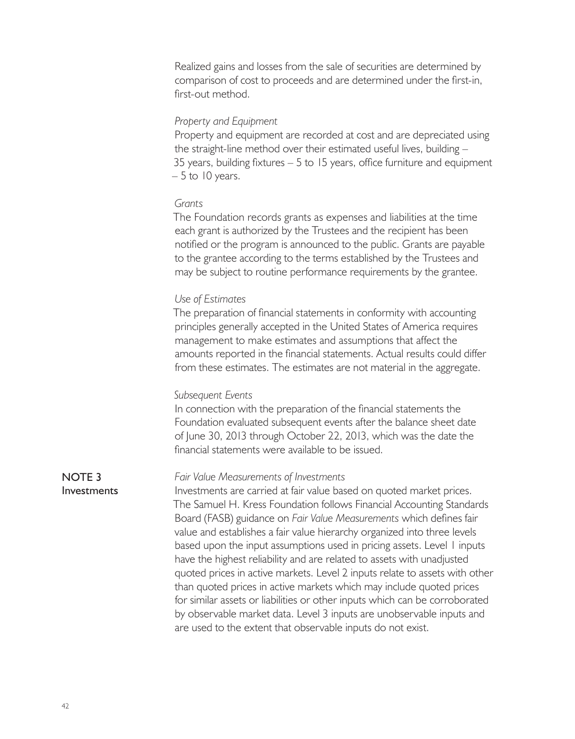Realized gains and losses from the sale of securities are determined by comparison of cost to proceeds and are determined under the first-in, first-out method.

#### *Property and Equipment*

Property and equipment are recorded at cost and are depreciated using the straight-line method over their estimated useful lives, building – 35 years, building fixtures – 5 to 15 years, office furniture and equipment  $-5$  to 10 years.

#### *Grants*

The Foundation records grants as expenses and liabilities at the time each grant is authorized by the Trustees and the recipient has been notified or the program is announced to the public. Grants are payable to the grantee according to the terms established by the Trustees and may be subject to routine performance requirements by the grantee.

#### *Use of Estimates*

The preparation of financial statements in conformity with accounting principles generally accepted in the United States of America requires management to make estimates and assumptions that affect the amounts reported in the financial statements. Actual results could differ from these estimates. The estimates are not material in the aggregate.

#### *Subsequent Events*

*Fair Value Measurements of Investments*

In connection with the preparation of the financial statements the Foundation evaluated subsequent events after the balance sheet date of June 30, 2013 through October 22, 2013, which was the date the financial statements were available to be issued.

#### NOTE 3 Investments

Investments are carried at fair value based on quoted market prices. The Samuel H. Kress Foundation follows Financial Accounting Standards Board (FASB) guidance on *Fair Value Measurements* which defines fair value and establishes a fair value hierarchy organized into three levels based upon the input assumptions used in pricing assets. Level 1 inputs have the highest reliability and are related to assets with unadjusted quoted prices in active markets. Level 2 inputs relate to assets with other than quoted prices in active markets which may include quoted prices for similar assets or liabilities or other inputs which can be corroborated by observable market data. Level 3 inputs are unobservable inputs and are used to the extent that observable inputs do not exist.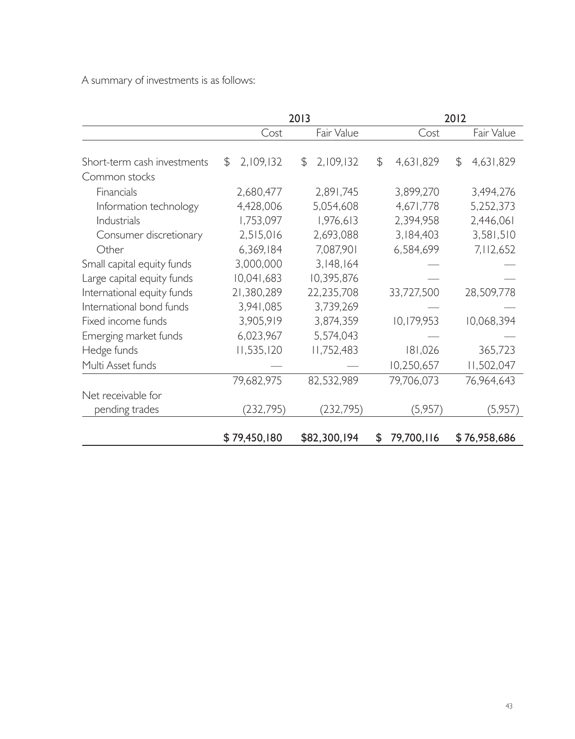A summary of investments is as follows:

|                             |                | 2013            |                  | 2012            |
|-----------------------------|----------------|-----------------|------------------|-----------------|
|                             | Cost           | Fair Value      | Cost             | Fair Value      |
| Short-term cash investments | 2,109,132<br>S | 2,109,132<br>\$ | 4,631,829<br>\$  | \$<br>4,631,829 |
| Common stocks               |                |                 |                  |                 |
| Financials                  | 2,680,477      | 2,891,745       | 3,899,270        | 3,494,276       |
| Information technology      | 4,428,006      | 5,054,608       | 4,671,778        | 5,252,373       |
| Industrials                 | 1,753,097      | 1,976,613       | 2,394,958        | 2,446,061       |
| Consumer discretionary      | 2,515,016      | 2,693,088       | 3,184,403        | 3,581,510       |
| Other                       | 6,369,184      | 7,087,901       | 6,584,699        | 7,112,652       |
| Small capital equity funds  | 3,000,000      | 3,148,164       |                  |                 |
| Large capital equity funds  | 10,041,683     | 10,395,876      |                  |                 |
| International equity funds  | 21,380,289     | 22,235,708      | 33,727,500       | 28,509,778      |
| International bond funds    | 3,941,085      | 3,739,269       |                  |                 |
| Fixed income funds          | 3,905,919      | 3,874,359       | 10,179,953       | 10,068,394      |
| Emerging market funds       | 6,023,967      | 5,574,043       |                  |                 |
| Hedge funds                 | 11,535,120     | 11,752,483      | 181,026          | 365,723         |
| Multi Asset funds           |                |                 | 10,250,657       | 11,502,047      |
|                             | 79,682,975     | 82,532,989      | 79,706,073       | 76,964,643      |
| Net receivable for          |                |                 |                  |                 |
| pending trades              | (232, 795)     | (232, 795)      | (5,957)          | (5,957)         |
|                             | \$79,450,180   | \$82,300,194    | 79,700,116<br>\$ | \$76,958,686    |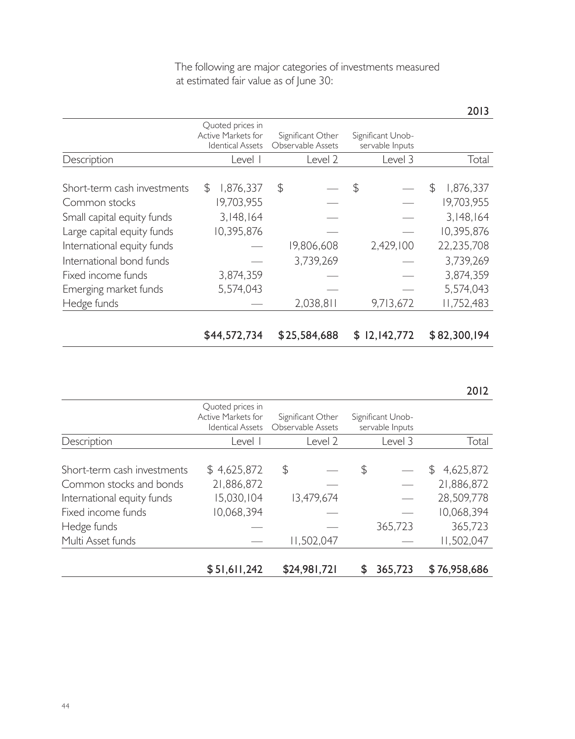|                             |     |                                                                   |                                        |                |                                      | 2013            |
|-----------------------------|-----|-------------------------------------------------------------------|----------------------------------------|----------------|--------------------------------------|-----------------|
|                             |     | Quoted prices in<br>Active Markets for<br><b>Identical Assets</b> | Significant Other<br>Observable Assets |                | Significant Unob-<br>servable Inputs |                 |
| Description                 |     | Level I                                                           | Level 2                                |                | Level 3                              | Total           |
| Short-term cash investments | \$. | 1,876,337                                                         | \$                                     | $\mathfrak{P}$ |                                      | \$<br>1,876,337 |
| Common stocks               |     | 19,703,955                                                        |                                        |                |                                      | 19,703,955      |
| Small capital equity funds  |     | 3,148,164                                                         |                                        |                |                                      | 3,148,164       |
| Large capital equity funds  |     | 10,395,876                                                        |                                        |                |                                      | 10,395,876      |
| International equity funds  |     |                                                                   | 19,806,608                             |                | 2,429,100                            | 22,235,708      |
| International bond funds    |     |                                                                   | 3,739,269                              |                |                                      | 3,739,269       |
| Fixed income funds          |     | 3,874,359                                                         |                                        |                |                                      | 3,874,359       |
| Emerging market funds       |     | 5,574,043                                                         |                                        |                |                                      | 5,574,043       |
| Hedge funds                 |     |                                                                   | 2,038,811                              |                | 9,713,672                            | 11,752,483      |
|                             |     |                                                                   |                                        |                |                                      |                 |
|                             |     | \$44,572,734                                                      | \$25,584,688                           | S              | 12, 142, 772                         | \$82,300,194    |

The following are major categories of investments measured at estimated fair value as of June 30:

|                             | Quoted prices in<br>Active Markets for<br><b>Identical Assets</b> | Significant Other<br>Observable Assets | Significant Unob-<br>servable Inputs |                 |
|-----------------------------|-------------------------------------------------------------------|----------------------------------------|--------------------------------------|-----------------|
| Description                 | Level I                                                           | Level 2                                | Level 3                              | Total           |
| Short-term cash investments | \$4,625,872                                                       | \$                                     | \$                                   | 4,625,872<br>\$ |
| Common stocks and bonds     | 21,886,872                                                        |                                        |                                      | 21,886,872      |
| International equity funds  | 15,030,104                                                        | 13,479,674                             |                                      | 28,509,778      |
| Fixed income funds          | 10,068,394                                                        |                                        |                                      | 10,068,394      |
| Hedge funds                 |                                                                   |                                        | 365,723                              | 365,723         |
| Multi Asset funds           |                                                                   | 11,502,047                             |                                      | 11,502,047      |
|                             | \$51,611,242                                                      | \$24,981,721                           | 365,723<br>S                         | \$76,958,686    |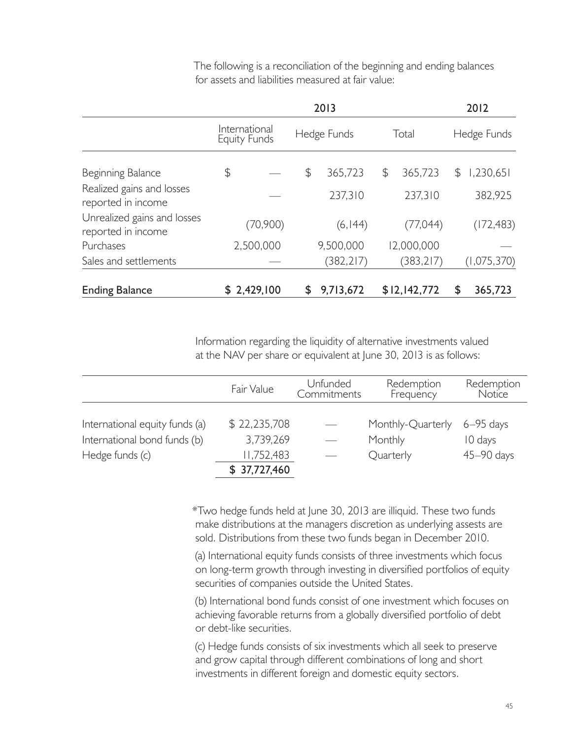|                                                   |                                      |               | 2013        |               |    | 2012        |
|---------------------------------------------------|--------------------------------------|---------------|-------------|---------------|----|-------------|
|                                                   | International<br><b>Equity Funds</b> |               | Hedge Funds | Total         |    | Hedge Funds |
| Beginning Balance                                 | \$                                   | $\frac{1}{2}$ | 365.723     | \$<br>365,723 | \$ | 1,230,651   |
| Realized gains and losses<br>reported in income   |                                      |               | 237,310     | 237,310       |    | 382,925     |
| Unrealized gains and losses<br>reported in income | (70, 900)                            |               | (6, 144)    | (77,044)      |    | (172, 483)  |
| Purchases                                         | 2,500,000                            |               | 9,500,000   | 12,000,000    |    |             |
| Sales and settlements                             |                                      |               | (382, 217)  | (383, 217)    |    | (1,075,370) |
| <b>Ending Balance</b>                             | \$2,429,100                          | S             | 9,713,672   | \$12,142,772  | S  | 365,723     |

The following is a reconciliation of the beginning and ending balances for assets and liabilities measured at fair value:

Information regarding the liquidity of alternative investments valued at the NAV per share or equivalent at June 30, 2013 is as follows:

|                                | Fair Value   | Unfunded<br>Commitments | Redemption<br>Frequency | Redemption<br>Notice |
|--------------------------------|--------------|-------------------------|-------------------------|----------------------|
| International equity funds (a) | \$22,235,708 |                         | Monthly-Quarterly       |                      |
|                                |              |                         |                         | $6 - 95$ days        |
| International bond funds (b)   | 3,739,269    |                         | Monthly                 | 10 days              |
| Hedge funds (c)                | 11,752,483   |                         | Quarterly               | 45-90 days           |
|                                | \$37,727,460 |                         |                         |                      |

\*Two hedge funds held at June 30, 2013 are illiquid. These two funds make distributions at the managers discretion as underlying assests are sold. Distributions from these two funds began in December 2010.

(a) International equity funds consists of three investments which focus on long-term growth through investing in diversified portfolios of equity securities of companies outside the United States.

(b) International bond funds consist of one investment which focuses on achieving favorable returns from a globally diversified portfolio of debt or debt-like securities.

(c) Hedge funds consists of six investments which all seek to preserve and grow capital through different combinations of long and short investments in different foreign and domestic equity sectors.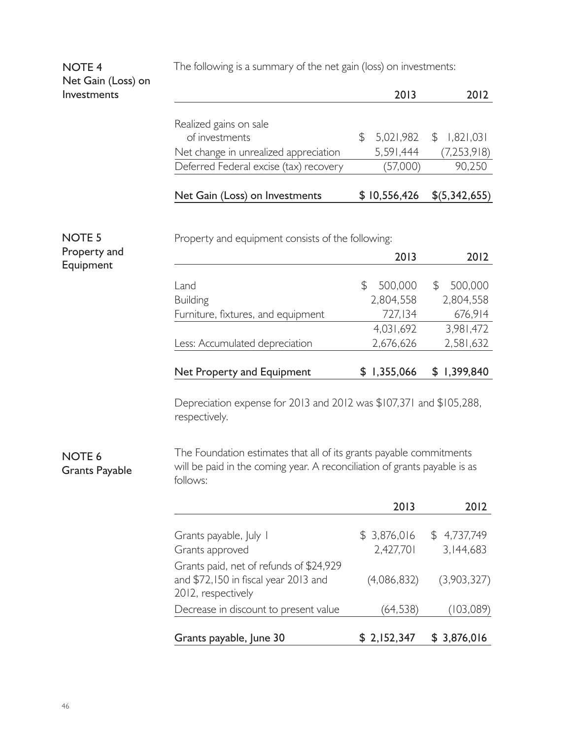The following is a summary of the net gain (loss) on investments:

## NOTE 4 Net Gain (Loss) on Investments

| Realized gains on sale<br>of investments<br>Net change in unrealized appreciation | 5,021,982<br>5,591,444 | \$1,821,031<br>(7, 253, 918) |
|-----------------------------------------------------------------------------------|------------------------|------------------------------|
| Deferred Federal excise (tax) recovery                                            | (57,000)               | 90,250                       |
| Net Gain (Loss) on Investments                                                    | \$10,556,426           | \$(5,342,655)                |

2013 2012

NOTE 5 Property and Equipment

Property and equipment consists of the following:

|                                    | 2013          | 2012          |
|------------------------------------|---------------|---------------|
|                                    |               |               |
| Land                               | 500,000<br>ß. | 500,000<br>S. |
| <b>Building</b>                    | 2,804,558     | 2,804,558     |
| Furniture, fixtures, and equipment | 727.134       | 676,914       |
|                                    | 4,031,692     | 3,981,472     |
| Less: Accumulated depreciation     | 2,676,626     | 2,581,632     |
|                                    |               |               |
| Net Property and Equipment         | \$1,355,066   | \$1,399,840   |

Depreciation expense for 2013 and 2012 was \$107,371 and \$105,288, respectively.

## NOTE 6 Grants Payable

The Foundation estimates that all of its grants payable commitments will be paid in the coming year. A reconciliation of grants payable is as follows:

|                                                                                                       | 2013                     | 2012                     |
|-------------------------------------------------------------------------------------------------------|--------------------------|--------------------------|
| Grants payable, July 1<br>Grants approved                                                             | \$3,876,016<br>2,427,701 | \$4,737,749<br>3,144,683 |
| Grants paid, net of refunds of \$24,929<br>and \$72,150 in fiscal year 2013 and<br>2012, respectively | (4,086,832)              | (3,903,327)              |
| Decrease in discount to present value                                                                 | (64, 538)                | (103,089)                |
| Grants payable, June 30                                                                               | \$2,152,347              | \$3,876,016              |